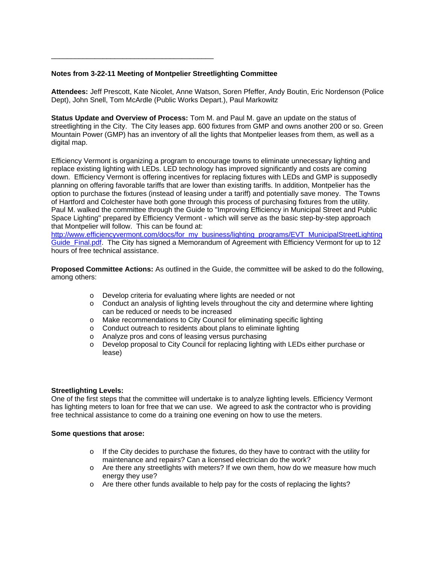### **Notes from 3-22-11 Meeting of Montpelier Streetlighting Committee**

\_\_\_\_\_\_\_\_\_\_\_\_\_\_\_\_\_\_\_\_\_\_\_\_\_\_\_\_\_\_\_\_\_\_\_\_\_\_\_\_\_

**Attendees:** Jeff Prescott, Kate Nicolet, Anne Watson, Soren Pfeffer, Andy Boutin, Eric Nordenson (Police Dept), John Snell, Tom McArdle (Public Works Depart.), Paul Markowitz

**Status Update and Overview of Process:** Tom M. and Paul M. gave an update on the status of streetlighting in the City. The City leases app. 600 fixtures from GMP and owns another 200 or so. Green Mountain Power (GMP) has an inventory of all the lights that Montpelier leases from them, as well as a digital map.

Efficiency Vermont is organizing a program to encourage towns to eliminate unnecessary lighting and replace existing lighting with LEDs. LED technology has improved significantly and costs are coming down. Efficiency Vermont is offering incentives for replacing fixtures with LEDs and GMP is supposedly planning on offering favorable tariffs that are lower than existing tariffs. In addition, Montpelier has the option to purchase the fixtures (instead of leasing under a tariff) and potentially save money. The Towns of Hartford and Colchester have both gone through this process of purchasing fixtures from the utility. Paul M. walked the committee through the Guide to "Improving Efficiency in Municipal Street and Public Space Lighting" prepared by Efficiency Vermont - which will serve as the basic step-by-step approach that Montpelier will follow. This can be found at:

http://www.efficiencyvermont.com/docs/for\_my\_business/lighting\_programs/EVT\_MunicipalStreetLighting Guide Final.pdf. The City has signed a Memorandum of Agreement with Efficiency Vermont for up to 12 hours of free technical assistance.

**Proposed Committee Actions:** As outlined in the Guide, the committee will be asked to do the following, among others:

- o Develop criteria for evaluating where lights are needed or not
- o Conduct an analysis of lighting levels throughout the city and determine where lighting can be reduced or needs to be increased
- o Make recommendations to City Council for eliminating specific lighting
- o Conduct outreach to residents about plans to eliminate lighting
- o Analyze pros and cons of leasing versus purchasing
- o Develop proposal to City Council for replacing lighting with LEDs either purchase or lease)

#### **Streetlighting Levels:**

One of the first steps that the committee will undertake is to analyze lighting levels. Efficiency Vermont has lighting meters to loan for free that we can use. We agreed to ask the contractor who is providing free technical assistance to come do a training one evening on how to use the meters.

#### **Some questions that arose:**

- $\circ$  If the City decides to purchase the fixtures, do they have to contract with the utility for maintenance and repairs? Can a licensed electrician do the work?
- $\circ$  Are there any streetlights with meters? If we own them, how do we measure how much energy they use?
- o Are there other funds available to help pay for the costs of replacing the lights?